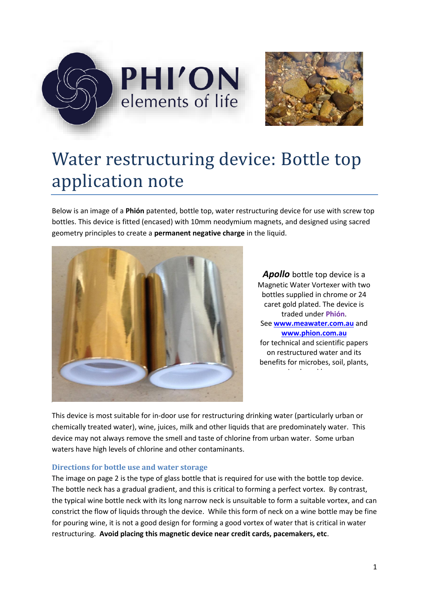



# Water restructuring device: Bottle top application note

Below is an image of a **Phión** patented, bottle top, water restructuring device for use with screw top bottles. This device is fitted (encased) with 10mm neodymium magnets, and designed using sacred geometry principles to create a **permanent negative charge** in the liquid.



*Apollo* bottle top device is a Magnetic Water Vortexer with two bottles supplied in chrome or 24 caret gold plated. The device is traded under **Phión**. See **[www.meawater.com.au](http://www.meawater.com.au/)** and **[www.phion.com.au](http://www.phion.com.au/)**  for technical and scientific papers on restructured water and its benefits for microbes, soil, plants, animals and humans.

This device is most suitable for in-door use for restructuring drinking water (particularly urban or chemically treated water), wine, juices, milk and other liquids that are predominately water. This device may not always remove the smell and taste of chlorine from urban water. Some urban waters have high levels of chlorine and other contaminants.

#### **Directions for bottle use and water storage**

The image on page 2 is the type of glass bottle that is required for use with the bottle top device. The bottle neck has a gradual gradient, and this is critical to forming a perfect vortex. By contrast, the typical wine bottle neck with its long narrow neck is unsuitable to form a suitable vortex, and can constrict the flow of liquids through the device. While this form of neck on a wine bottle may be fine for pouring wine, it is not a good design for forming a good vortex of water that is critical in water restructuring. **Avoid placing this magnetic device near credit cards, pacemakers, etc**.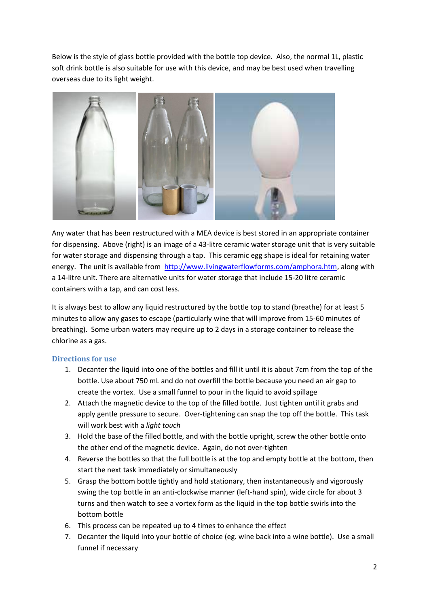Below is the style of glass bottle provided with the bottle top device. Also, the normal 1L, plastic soft drink bottle is also suitable for use with this device, and may be best used when travelling overseas due to its light weight.



Any water that has been restructured with a MEA device is best stored in an appropriate container for dispensing. Above (right) is an image of a 43-litre ceramic water storage unit that is very suitable for water storage and dispensing through a tap. This ceramic egg shape is ideal for retaining water energy. The unit is available from [http://www.livingwaterflowforms.com/amphora.htm,](http://www.livingwaterflowforms.com/amphora.htm) along with a 14-litre unit. There are alternative units for water storage that include 15-20 litre ceramic containers with a tap, and can cost less.

It is always best to allow any liquid restructured by the bottle top to stand (breathe) for at least 5 minutes to allow any gases to escape (particularly wine that will improve from 15-60 minutes of breathing). Some urban waters may require up to 2 days in a storage container to release the chlorine as a gas.

### **Directions for use**

- 1. Decanter the liquid into one of the bottles and fill it until it is about 7cm from the top of the bottle. Use about 750 mL and do not overfill the bottle because you need an air gap to create the vortex. Use a small funnel to pour in the liquid to avoid spillage
- 2. Attach the magnetic device to the top of the filled bottle. Just tighten until it grabs and apply gentle pressure to secure. Over-tightening can snap the top off the bottle. This task will work best with a *light touch*
- 3. Hold the base of the filled bottle, and with the bottle upright, screw the other bottle onto the other end of the magnetic device. Again, do not over-tighten
- 4. Reverse the bottles so that the full bottle is at the top and empty bottle at the bottom, then start the next task immediately or simultaneously
- 5. Grasp the bottom bottle tightly and hold stationary, then instantaneously and vigorously swing the top bottle in an anti-clockwise manner (left-hand spin), wide circle for about 3 turns and then watch to see a vortex form as the liquid in the top bottle swirls into the bottom bottle
- 6. This process can be repeated up to 4 times to enhance the effect
- 7. Decanter the liquid into your bottle of choice (eg. wine back into a wine bottle). Use a small funnel if necessary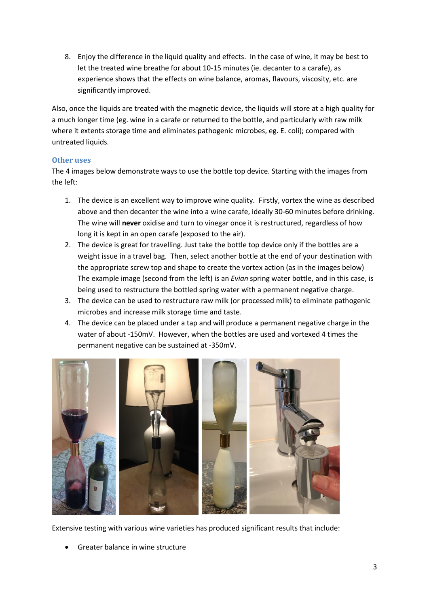8. Enjoy the difference in the liquid quality and effects. In the case of wine, it may be best to let the treated wine breathe for about 10-15 minutes (ie. decanter to a carafe), as experience shows that the effects on wine balance, aromas, flavours, viscosity, etc. are significantly improved.

Also, once the liquids are treated with the magnetic device, the liquids will store at a high quality for a much longer time (eg. wine in a carafe or returned to the bottle, and particularly with raw milk where it extents storage time and eliminates pathogenic microbes, eg. E. coli); compared with untreated liquids.

### **Other uses**

The 4 images below demonstrate ways to use the bottle top device. Starting with the images from the left:

- 1. The device is an excellent way to improve wine quality. Firstly, vortex the wine as described above and then decanter the wine into a wine carafe, ideally 30-60 minutes before drinking. The wine will **never** oxidise and turn to vinegar once it is restructured, regardless of how long it is kept in an open carafe (exposed to the air).
- 2. The device is great for travelling. Just take the bottle top device only if the bottles are a weight issue in a travel bag. Then, select another bottle at the end of your destination with the appropriate screw top and shape to create the vortex action (as in the images below) The example image (second from the left) is an *Evian* spring water bottle, and in this case, is being used to restructure the bottled spring water with a permanent negative charge.
- 3. The device can be used to restructure raw milk (or processed milk) to eliminate pathogenic microbes and increase milk storage time and taste.
- 4. The device can be placed under a tap and will produce a permanent negative charge in the water of about -150mV. However, when the bottles are used and vortexed 4 times the permanent negative can be sustained at -350mV.



Extensive testing with various wine varieties has produced significant results that include:

• Greater balance in wine structure